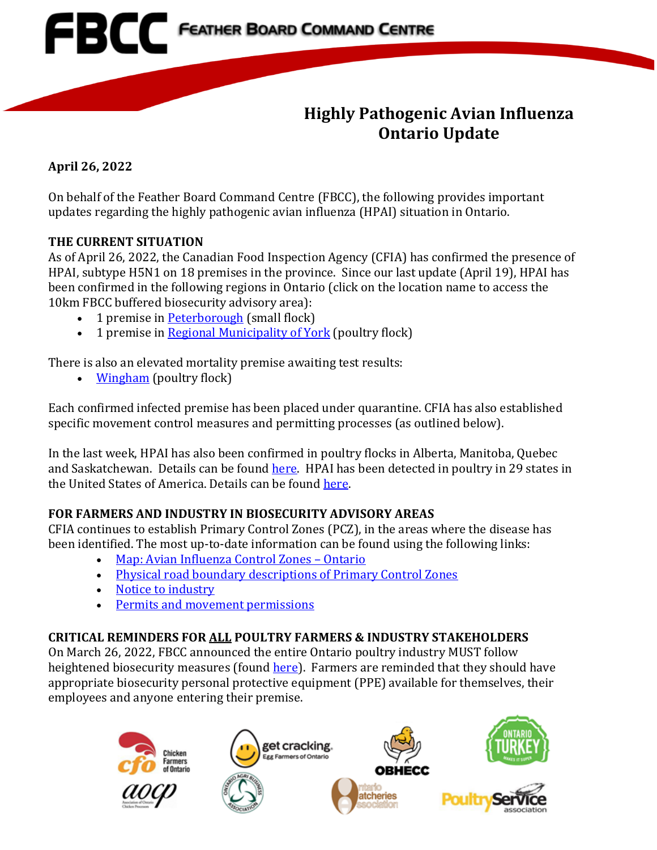

## **Highly Pathogenic Avian Influenza Ontario Update**

**April 26, 2022**

On behalf of the Feather Board Command Centre (FBCC), the following provides important updates regarding the highly pathogenic avian influenza (HPAI) situation in Ontario.

#### **THE CURRENT SITUATION**

As of April 26, 2022, the Canadian Food Inspection Agency (CFIA) has confirmed the presence of HPAI, subtype H5N1 on 18 premises in the province. Since our last update (April 19), HPAI has been confirmed in the following regions in Ontario (click on the location name to access the 10km FBCC buffered biosecurity advisory area):

- 1 premise in [Peterborough](https://www.fbcc.ca/peterborough-2/public-map) (small flock)
- 1 premise in [Regional Municipality of York](https://www.fbcc.ca/ip17-hpai-cedar-valley/public-map) (poultry flock)

There is also an elevated mortality premise awaiting test results:

• [Wingham](https://www.fbcc.ca/wingham-high-mortality/public-map) (poultry flock)

Each confirmed infected premise has been placed under quarantine. CFIA has also established specific movement control measures and permitting processes (as outlined below).

In the last week, HPAI has also been confirmed in poultry flocks in Alberta, Manitoba, Quebec and Saskatchewan. Details can be foun[d here.](https://inspection.canada.ca/animal-health/terrestrial-animals/diseases/reportable/avian-influenza/response-to-detections-of-highly-pathogenic-avian-/eng/1640207916497/1640207916934) HPAI has been detected in poultry in 29 states in the United States of America. Details can be found [here.](https://www.cdc.gov/flu/avianflu/avian-flu-summary.htm)

### **FOR FARMERS AND INDUSTRY IN BIOSECURITY ADVISORY AREAS**

CFIA continues to establish Primary Control Zones (PCZ), in the areas where the disease has been identified. The most up-to-date information can be found using the following links:

- [Map: Avian Influenza Control Zones –](https://inspection.canada.ca/animal-health/terrestrial-animals/diseases/reportable/avian-influenza/response-to-detections-of-highly-pathogenic-avian-/ai-zones/eng/1648851134912/1648851359195) Ontario
- [Physical road boundary descriptions of Primary Control Zones](https://inspection.canada.ca/animal-health/terrestrial-animals/diseases/reportable/avian-influenza/response-to-detections-of-highly-pathogenic-avian-/orders/eng/1649534340171/1649534884199)
- [Notice to industry](https://inspection.canada.ca/animal-health/terrestrial-animals/diseases/reportable/avian-influenza/response-to-detections-of-highly-pathogenic-avian-/2022-04-02/eng/1648912803992/1648912804367)
- [Permits and movement permissions](https://inspection.canada.ca/animal-health/terrestrial-animals/diseases/reportable/avian-influenza/response-to-detections-of-highly-pathogenic-avian-/movement-control-permissions/eng/1648871137667/1648871138011)

### **CRITICAL REMINDERS FOR ALL POULTRY FARMERS & INDUSTRY STAKEHOLDERS**

On March 26, 2022, FBCC announced the entire Ontario poultry industry MUST follow heightened biosecurity measures (found [here\)](https://www.familyfoodgrower.ca/family-food/images/FBCC_March-26_2022_Provincial-Advisory.pdf?ext=.pdf). Farmers are reminded that they should have appropriate biosecurity personal protective equipment (PPE) available for themselves, their employees and anyone entering their premise.